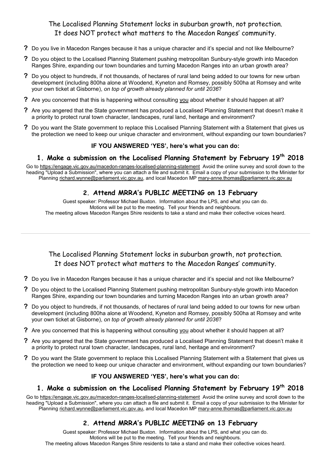### The Localised Planning Statement locks in suburban growth, not protection. It does NOT protect what matters to the Macedon Ranges' community.

- **?** Do you live in Macedon Ranges because it has a unique character and it's special and not like Melbourne?
- **?** Do you object to the Localised Planning Statement pushing metropolitan Sunbury-style growth into Macedon Ranges Shire, expanding our town boundaries and turning Macedon Ranges into an urban growth area?
- **?** Do you object to hundreds, if not thousands, of hectares of rural land being added to our towns for new urban development (including 800ha alone at Woodend, Kyneton and Romsey, possibly 500ha at Romsey and write your own ticket at Gisborne), *on top of growth already planned for until 2036*?
- **?** Are you concerned that this is happening without consulting you about whether it should happen at all?
- **?** Are you angered that the State government has produced a Localised Planning Statement that doesn't make it a priority to protect rural town character, landscapes, rural land, heritage and environment?
- **?** Do you want the State government to replace this Localised Planning Statement with a Statement that gives us the protection we need to keep our unique character and environment, without expanding our town boundaries?

#### **IF YOU ANSWERED 'YES', here's what you can do:**

### **1. Make a submission on the Localised Planning Statement by February 19th 2018**

Go to https://engage.vic.gov.au/macedon-ranges-localised-planning-statement Avoid the online survey and scroll down to the heading "Upload a Submission", where you can attach a file and submit it. Email a copy of your submission to the Minister for Planning richard.wynne@parliament.vic.gov.au, and local Macedon MP mary-anne.thomas@parliament.vic.gov.au

### **2. Attend MRRA's PUBLIC MEETING on 13 February**

Guest speaker: Professor Michael Buxton. Information about the LPS, and what you can do. Motions will be put to the meeting. Tell your friends and neighbours. The meeting allows Macedon Ranges Shire residents to take a stand and make their collective voices heard.

The Localised Planning Statement locks in suburban growth, not protection. It does NOT protect what matters to the Macedon Ranges' community.

- **?** Do you live in Macedon Ranges because it has a unique character and it's special and not like Melbourne?
- **?** Do you object to the Localised Planning Statement pushing metropolitan Sunbury-style growth into Macedon Ranges Shire, expanding our town boundaries and turning Macedon Ranges into an urban growth area?
- **?** Do you object to hundreds, if not thousands, of hectares of rural land being added to our towns for new urban development (including 800ha alone at Woodend, Kyneton and Romsey, possibly 500ha at Romsey and write your own ticket at Gisborne), *on top of growth already planned for until 2036*?
- **?** Are you concerned that this is happening without consulting you about whether it should happen at all?
- **?** Are you angered that the State government has produced a Localised Planning Statement that doesn't make it a priority to protect rural town character, landscapes, rural land, heritage and environment?
- **?** Do you want the State government to replace this Localised Planning Statement with a Statement that gives us the protection we need to keep our unique character and environment, without expanding our town boundaries?

#### **IF YOU ANSWERED 'YES', here's what you can do:**

### **1. Make a submission on the Localised Planning Statement by February 19th 2018**

Go to https://engage.vic.gov.au/macedon-ranges-localised-planning-statement Avoid the online survey and scroll down to the heading "Upload a Submission", where you can attach a file and submit it. Email a copy of your submission to the Minister for Planning richard.wynne@parliament.vic.gov.au, and local Macedon MP mary-anne.thomas@parliament.vic.gov.au

### **2. Attend MRRA's PUBLIC MEETING on 13 February**

Guest speaker: Professor Michael Buxton. Information about the LPS, and what you can do. Motions will be put to the meeting. Tell your friends and neighbours. The meeting allows Macedon Ranges Shire residents to take a stand and make their collective voices heard.